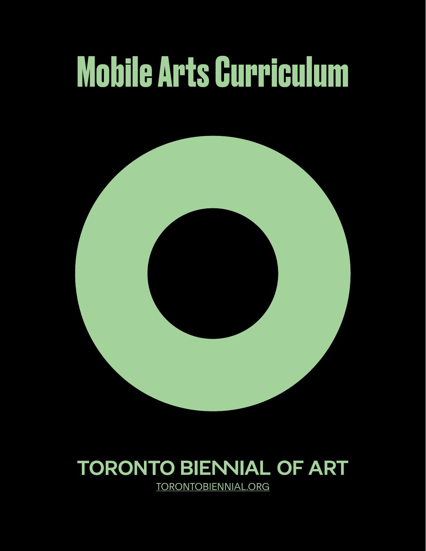# **Mobile Arts Curriculum**



### **TORONTO BIENNIAL OF ART** [TORONTOBIENNIAL.ORG](http://torontobiennial.org)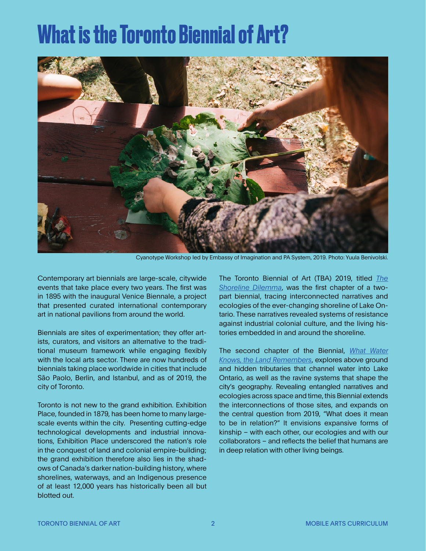### **What is the Toronto Biennial of Art?**



Cyanotype Workshop led by Embassy of Imagination and PA System, 2019. Photo: Yuula Benivolski.

Contemporary art biennials are large-scale, citywide events that take place every two years. The first was in 1895 with the inaugural Venice Biennale, a project that presented curated international contemporary art in national pavilions from around the world.

Biennials are sites of experimentation; they offer artists, curators, and visitors an alternative to the traditional museum framework while engaging flexibly with the local arts sector. There are now hundreds of biennials taking place worldwide in cities that include São Paolo, Berlin, and Istanbul, and as of 2019, the city of Toronto.

Toronto is not new to the grand exhibition. Exhibition Place, founded in 1879, has been home to many largescale events within the city. Presenting cutting-edge technological developments and industrial innovations, Exhibition Place underscored the nation's role in the conquest of land and colonial empire-building; the grand exhibition therefore also lies in the shadows of Canada's darker nation-building history, where shorelines, waterways, and an Indigenous presence of at least 12,000 years has historically been all but blotted out.

The Toronto Biennial of Art (TBA) 2019, titled *[The](https://torontobiennial.org/2019-curatorial-statement/) [Shoreline Dilemma](https://torontobiennial.org/2019-curatorial-statement/)*, was the first chapter of a twopart biennial, tracing interconnected narratives and ecologies of the ever-changing shoreline of Lake Ontario. These narratives revealed systems of resistance against industrial colonial culture, and the living histories embedded in and around the shoreline.

The second chapter of the Biennial, *[What Water](https://torontobiennial.org/curatorial-vision/)  [Knows, the Land Remembers](https://torontobiennial.org/curatorial-vision/)*, explores above ground and hidden tributaries that channel water into Lake Ontario, as well as the ravine systems that shape the city's geography. Revealing entangled narratives and ecologies across space and time, this Biennial extends the interconnections of those sites, and expands on the central question from 2019, "What does it mean to be in relation?" It envisions expansive forms of kinship – with each other, our ecologies and with our collaborators – and reflects the belief that humans are in deep relation with other living beings.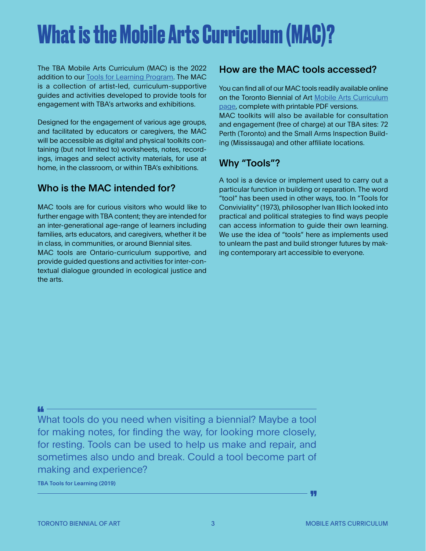## **What is the Mobile Arts Curriculum (MAC)?**

The TBA Mobile Arts Curriculum (MAC) is the 2022 addition to our [Tools for Learning Program](https://torontobiennial.org/tools-for-learning/). The MAC is a collection of artist-led, curriculum-supportive guides and activities developed to provide tools for engagement with TBA's artworks and exhibitions.

Designed for the engagement of various age groups, and facilitated by educators or caregivers, the MAC will be accessible as digital and physical toolkits containing (but not limited to) worksheets, notes, recordings, images and select activity materials, for use at home, in the classroom, or within TBA's exhibitions.

### Who is the MAC intended for?

MAC tools are for curious visitors who would like to further engage with TBA content; they are intended for an inter-generational age-range of learners including families, arts educators, and caregivers, whether it be in class, in communities, or around Biennial sites.

MAC tools are Ontario-curriculum supportive, and provide guided questions and activities for inter-contextual dialogue grounded in ecological justice and the arts.

#### How are the MAC tools accessed?

You can find all of our MAC tools readily available online on the Toronto Biennial of Art [Mobile Arts Curriculum](https://torontobiennial.org/mobile-arts-curriculum/)  [page,](https://torontobiennial.org/mobile-arts-curriculum/) complete with printable PDF versions. MAC toolkits will also be available for consultation and engagement (free of charge) at our TBA sites: 72 Perth (Toronto) and the Small Arms Inspection Building (Mississauga) and other affiliate locations.

### Why "Tools"?

A tool is a device or implement used to carry out a particular function in building or reparation. The word "tool" has been used in other ways, too. In "Tools for Conviviality" (1973), philosopher Ivan Illich looked into practical and political strategies to find ways people can access information to guide their own learning. We use the idea of "tools" here as implements used to unlearn the past and build stronger futures by making contemporary art accessible to everyone.

What tools do you need when visiting a biennial? Maybe a tool for making notes, for finding the way, for looking more closely, for resting. Tools can be used to help us make and repair, and sometimes also undo and break. Could a tool become part of making and experience?

TBA Tools for Learning (2019)

- 99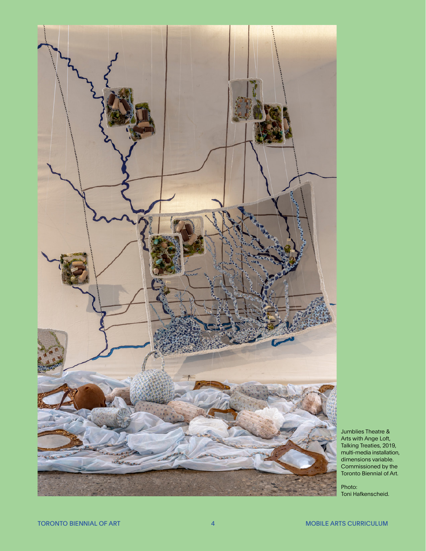

Jumblies Theatre & Arts with Ange Loft, Talking Treaties, 2019, multi-media installation, dimensions variable. Commissioned by the Toronto Biennial of Art.

Photo: Toni Hafkenscheid.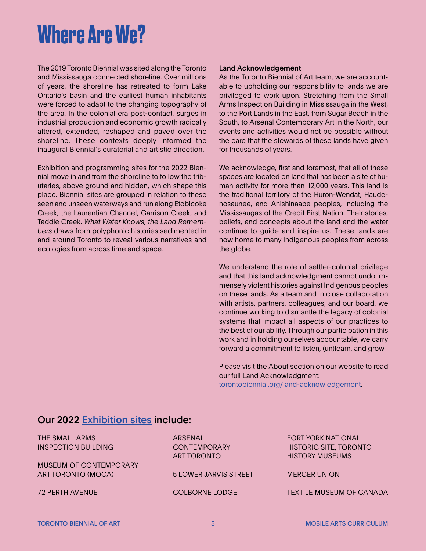### **Where Are We?**

The 2019 Toronto Biennial was sited along the Toronto and Mississauga connected shoreline. Over millions of years, the shoreline has retreated to form Lake Ontario's basin and the earliest human inhabitants were forced to adapt to the changing topography of the area. In the colonial era post-contact, surges in industrial production and economic growth radically altered, extended, reshaped and paved over the shoreline. These contexts deeply informed the inaugural Biennial's curatorial and artistic direction.

Exhibition and programming sites for the 2022 Biennial move inland from the shoreline to follow the tributaries, above ground and hidden, which shape this place. Biennial sites are grouped in relation to these seen and unseen waterways and run along Etobicoke Creek, the Laurentian Channel, Garrison Creek, and Taddle Creek. *What Water Knows, the Land Remembers* draws from polyphonic histories sedimented in and around Toronto to reveal various narratives and ecologies from across time and space.

#### Land Acknowledgement

As the Toronto Biennial of Art team, we are accountable to upholding our responsibility to lands we are privileged to work upon. Stretching from the Small Arms Inspection Building in Mississauga in the West, to the Port Lands in the East, from Sugar Beach in the South, to Arsenal Contemporary Art in the North, our events and activities would not be possible without the care that the stewards of these lands have given for thousands of years.

We acknowledge, first and foremost, that all of these spaces are located on land that has been a site of human activity for more than 12,000 years. This land is the traditional territory of the Huron-Wendat, Haudenosaunee, and Anishinaabe peoples, including the Mississaugas of the Credit First Nation. Their stories, beliefs, and concepts about the land and the water continue to guide and inspire us. These lands are now home to many Indigenous peoples from across the globe.

We understand the role of settler-colonial privilege and that this land acknowledgment cannot undo immensely violent histories against Indigenous peoples on these lands. As a team and in close collaboration with artists, partners, colleagues, and our board, we continue working to dismantle the legacy of colonial systems that impact all aspects of our practices to the best of our ability. Through our participation in this work and in holding ourselves accountable, we carry forward a commitment to listen, (un)learn, and grow.

Please visit the About section on our website to read our full Land Acknowledgment: [torontobiennial.org/land-acknowledgement.](https://torontobiennial.org/land-acknowledgement/)

#### Our 2022 E[xhibition sites](https://torontobiennial.org/exhibition-sites/) include:

THE SMALL ARMS INSPECTION BUILDING MUSEUM OF CONTEMPORARY ART TORONTO (MOCA) 72 PERTH AVENUE ARSENAL **CONTEMPORARY** ART TORONTO 5 LOWER JARVIS STREET COLBORNE LODGE FORT YORK NATIONAL HISTORIC SITE, TORONTO HISTORY MUSEUMS MERCER UNION TEXTILE MUSEUM OF CANADA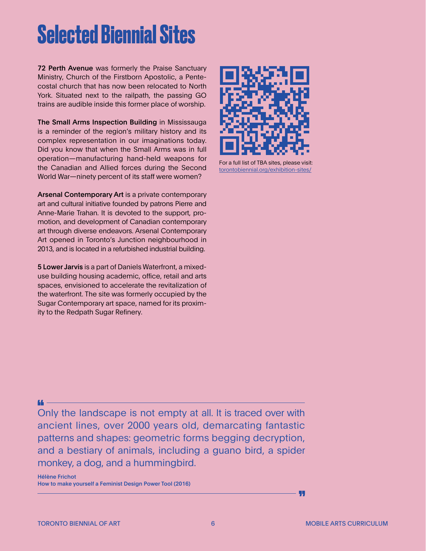### **Selected Biennial Sites**

72 Perth Avenue was formerly the Praise Sanctuary Ministry, Church of the Firstborn Apostolic, a Pentecostal church that has now been relocated to North York. Situated next to the railpath, the passing GO trains are audible inside this former place of worship.

The Small Arms Inspection Building in Mississauga is a reminder of the region's military history and its complex representation in our imaginations today. Did you know that when the Small Arms was in full operation—manufacturing hand-held weapons for the Canadian and Allied forces during the Second World War—ninety percent of its staff were women?

Arsenal Contemporary Art is a private contemporary art and cultural initiative founded by patrons Pierre and Anne-Marie Trahan. It is devoted to the support, promotion, and development of Canadian contemporary art through diverse endeavors. Arsenal Contemporary Art opened in Toronto's Junction neighbourhood in 2013, and is located in a refurbished industrial building.

5 Lower Jarvis is a part of Daniels Waterfront, a mixeduse building housing academic, office, retail and arts spaces, envisioned to accelerate the revitalization of the waterfront. The site was formerly occupied by the Sugar Contemporary art space, named for its proximity to the Redpath Sugar Refinery.



For a full list of TBA sites, please visit: [torontobiennial.org/exhibition-sites/](https://torontobiennial.org/exhibition-sites/)

Only the landscape is not empty at all. It is traced over with ancient lines, over 2000 years old, demarcating fantastic patterns and shapes: geometric forms begging decryption, and a bestiary of animals, including a guano bird, a spider monkey, a dog, and a hummingbird.

Hélène Frichot How to make yourself a Feminist Design Power Tool (2016)

u